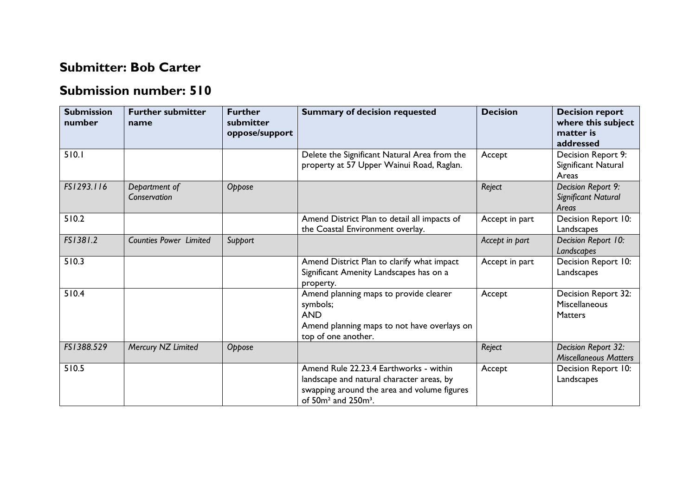## **Submitter: Bob Carter**

## **Submission number: 510**

| <b>Submission</b><br>number | <b>Further submitter</b><br>name | <b>Further</b><br>submitter<br>oppose/support | <b>Summary of decision requested</b>                                                                                                                            | <b>Decision</b> | <b>Decision report</b><br>where this subject<br>matter is<br>addressed |
|-----------------------------|----------------------------------|-----------------------------------------------|-----------------------------------------------------------------------------------------------------------------------------------------------------------------|-----------------|------------------------------------------------------------------------|
| 510.1                       |                                  |                                               | Delete the Significant Natural Area from the<br>property at 57 Upper Wainui Road, Raglan.                                                                       | Accept          | Decision Report 9:<br>Significant Natural<br>Areas                     |
| FS1293.116                  | Department of<br>Conservation    | Oppose                                        |                                                                                                                                                                 | Reject          | Decision Report 9:<br>Significant Natural<br>Areas                     |
| 510.2                       |                                  |                                               | Amend District Plan to detail all impacts of<br>the Coastal Environment overlay.                                                                                | Accept in part  | Decision Report 10:<br>Landscapes                                      |
| FS1381.2                    | <b>Counties Power Limited</b>    | Support                                       |                                                                                                                                                                 | Accept in part  | Decision Report 10:<br>Landscapes                                      |
| 510.3                       |                                  |                                               | Amend District Plan to clarify what impact<br>Significant Amenity Landscapes has on a<br>property.                                                              | Accept in part  | Decision Report 10:<br>Landscapes                                      |
| 510.4                       |                                  |                                               | Amend planning maps to provide clearer<br>symbols;<br><b>AND</b><br>Amend planning maps to not have overlays on<br>top of one another.                          | Accept          | Decision Report 32:<br>Miscellaneous<br><b>Matters</b>                 |
| FS1388.529                  | Mercury NZ Limited               | Oppose                                        |                                                                                                                                                                 | Reject          | Decision Report 32:<br><b>Miscellaneous Matters</b>                    |
| 510.5                       |                                  |                                               | Amend Rule 22.23.4 Earthworks - within<br>landscape and natural character areas, by<br>swapping around the area and volume figures<br>of $50m^2$ and $250m^3$ . | Accept          | Decision Report 10:<br>Landscapes                                      |